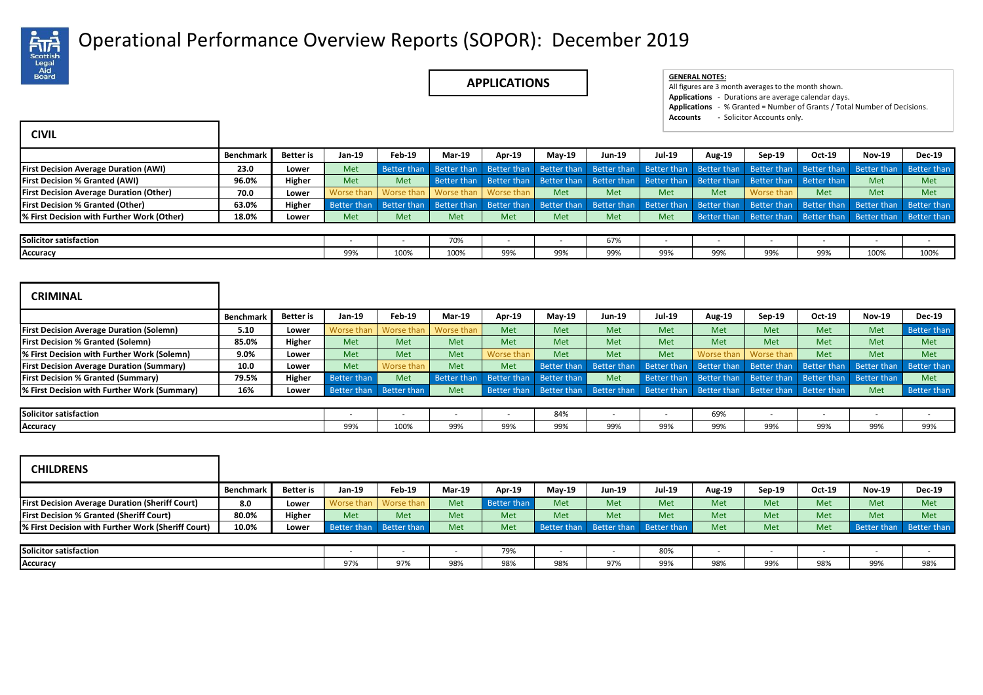

## Operational Performance Overview Reports (SOPOR): December 2019 .

**APPLICATIONS GENERAL NOTES:**

| <b>GENERAL NOTES:</b> |  |
|-----------------------|--|
|-----------------------|--|

All figures are 3 month averages to the month shown. **Applications** - Durations are average calendar days. **Applications** - % Granted = Number of Grants / Total Number of Decisions. **Accounts** - Solicitor Accounts only.

| <b>CIVIL</b>                                                                                                                              |                  |                  |                          |                    |                    |                    |                    |                    |                          |                    |                          |                          |                          |                          |
|-------------------------------------------------------------------------------------------------------------------------------------------|------------------|------------------|--------------------------|--------------------|--------------------|--------------------|--------------------|--------------------|--------------------------|--------------------|--------------------------|--------------------------|--------------------------|--------------------------|
|                                                                                                                                           | <b>Benchmark</b> | <b>Better</b> is | Jan-19                   | <b>Feb-19</b>      | <b>Mar-19</b>      | Apr-19             | $May-19$           | <b>Jun-19</b>      | <b>Jul-19</b>            | Aug-19             | Sep-19                   | Oct-19                   | <b>Nov-19</b>            | Dec-19                   |
| <b>First Decision Average Duration (AWI)</b>                                                                                              | 23.0             | Lower            | Met                      | <b>Better than</b> | <b>Better than</b> | Better than        | <b>Better than</b> | <b>Better than</b> | <b>Better than</b>       | <b>Better than</b> | <b>Better than</b>       | <b>Better than</b>       | <b>Better than</b>       | <b>Better than</b>       |
| <b>First Decision % Granted (AWI)</b>                                                                                                     | 96.0%            | Higher           | Met                      | Met                | <b>Better than</b> | <b>Better than</b> | <b>Better than</b> | Better than        | Better than              | <b>Better than</b> | <b>Better than</b>       | Better than              | Met                      | Met                      |
| <b>First Decision Average Duration (Other)</b>                                                                                            | 70.0             | Lower            | Worse than               | Worse than         | Worse than         | Worse than         | Met                | Met                | Met                      | Met                | Worse than               | Met                      | Met                      | Met                      |
| <b>First Decision % Granted (Other)</b>                                                                                                   | 63.0%            | Higher           | <b>Better than</b>       | <b>Better than</b> | <b>Better than</b> | Better than        | <b>Better than</b> | <b>Better than</b> | <b>Better than</b>       | <b>Better than</b> | Better than              | <b>Better than</b>       | <b>Better than</b>       | <b>Better than</b>       |
| % First Decision with Further Work (Other)                                                                                                | 18.0%            | Lower            | Met                      | Met                | Met                | Met                | Met                | Met                | Met                      | Better than        | Better than              | Better than              | Better than              | Better than              |
| Solicitor satisfaction                                                                                                                    |                  |                  |                          |                    | 70%                |                    |                    | 67%                |                          |                    |                          |                          |                          | $\overline{\phantom{a}}$ |
| Accuracy                                                                                                                                  |                  |                  | 99%                      | 100%               | 100%               | 99%                | 99%                | 99%                | 99%                      | 99%                | 99%                      | 99%                      | 100%                     | 100%                     |
|                                                                                                                                           |                  |                  |                          |                    |                    |                    |                    |                    |                          |                    |                          |                          |                          |                          |
| <b>CRIMINAL</b>                                                                                                                           | <b>Benchmark</b> | <b>Better</b> is | Jan-19                   | Feb-19             | <b>Mar-19</b>      | Apr-19             | $May-19$           | <b>Jun-19</b>      | Jul-19                   | Aug-19             | Sep-19                   | Oct-19                   | <b>Nov-19</b>            | <b>Dec-19</b>            |
| <b>First Decision Average Duration (Solemn)</b>                                                                                           | 5.10             | Lower            | Worse than               | Worse than         | Worse than         | Met                | Met                | Met                | Met                      | Met                | Met                      | Met                      | Met                      | <b>Better than</b>       |
|                                                                                                                                           | 85.0%            | Higher           | Met                      | Met                | Met                | Met                | Met                | Met                | Met                      | Met                | Met                      | Met                      | Met                      | Met                      |
|                                                                                                                                           | 9.0%             | Lower            | Met                      | Met                | Met                | Worse than         | Met                | Met                | Met                      | Worse than         | Worse than               | Met                      | Met                      | Met                      |
| % First Decision with Further Work (Solemn)                                                                                               | 10.0             | Lower            | Met                      | Worse than         | Met                | Met                | Better than        | Better than        | Better than              | <b>Better than</b> | Better than              | <b>Better than</b>       | Better than              | <b>Better than</b>       |
| <b>First Decision % Granted (Solemn)</b><br><b>First Decision Average Duration (Summary)</b><br><b>First Decision % Granted (Summary)</b> | 79.5%            | Higher           | <b>Better than</b>       | Met                | <b>Better than</b> | <b>Better than</b> | <b>Better than</b> | Met                | <b>Better than</b>       | <b>Better than</b> | Better than              | Better than              | Better than              | Met                      |
| % First Decision with Further Work (Summary)                                                                                              | 16%              | Lower            | Better than              | Better than        | Met                | Better than        | Better than        | Better than        | Better than              | <b>Better than</b> | Better than              | Better than              | Met                      | <b>Better than</b>       |
| <b>Solicitor satisfaction</b>                                                                                                             |                  |                  | $\overline{\phantom{a}}$ | ٠                  |                    | $\sim$             | 84%                | $\sim$             | $\overline{\phantom{a}}$ | 69%                | $\overline{\phantom{a}}$ | $\overline{\phantom{a}}$ | $\overline{\phantom{a}}$ | $\overline{\phantom{a}}$ |

| <b>CHILDRENS</b>                                       |           |           |        |                         |        |             |               |                         |               |            |        |        |               |                         |
|--------------------------------------------------------|-----------|-----------|--------|-------------------------|--------|-------------|---------------|-------------------------|---------------|------------|--------|--------|---------------|-------------------------|
|                                                        | Benchmark | Better is | Jan-19 | Feb-19                  | Mar-19 | Apr-19      | <b>May-19</b> | Jun-19                  | <b>Jul-19</b> | Aug-19     | Sep-19 | Oct-19 | <b>Nov-19</b> | <b>Dec-19</b>           |
| <b>First Decision Average Duration (Sheriff Court)</b> | 8.0       | Lower     |        | Worse than   Worse than | Met    | Better than | Met           | Met                     | Met           | <b>Met</b> | Met    | Met    | Met           | Met                     |
| <b>First Decision % Granted (Sheriff Court)</b>        | 80.0%     | Higher    | Met    | Met                     | Met    | Met         | Met           | Met                     | Met           | Met        | Met    | Met    | Met           | Met                     |
| % First Decision with Further Work (Sheriff Court)     | 10.0%     | Lower     |        | Better than Better than | Met    | Met         |               | Better than Better than | Better than   | Met        | Met    | Met    |               | Better than Better than |
|                                                        |           |           |        |                         |        |             |               |                         |               |            |        |        |               |                         |
| Solicitor satisfaction                                 |           |           |        |                         |        | 79%         |               |                         | 80%           |            |        |        |               |                         |
| Accuracy                                               |           |           | 97%    | 97%                     | 98%    | 98%         | 98%           | 97%                     | 99%           | 98%        | 99%    | 98%    | 99%           | 98%                     |